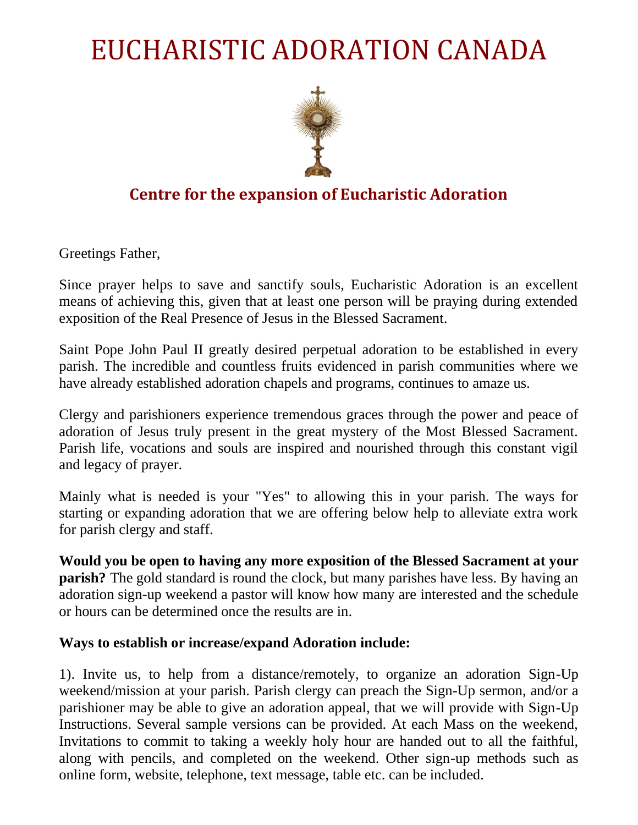## EUCHARISTIC ADORATION CANADA



## **Centre for the expansion of Eucharistic Adoration**

Greetings Father,

Since prayer helps to save and sanctify souls, Eucharistic Adoration is an excellent means of achieving this, given that at least one person will be praying during extended exposition of the Real Presence of Jesus in the Blessed Sacrament.

Saint Pope John Paul II greatly desired perpetual adoration to be established in every parish. The incredible and countless fruits evidenced in parish communities where we have already established adoration chapels and programs, continues to amaze us.

Clergy and parishioners experience tremendous graces through the power and peace of adoration of Jesus truly present in the great mystery of the Most Blessed Sacrament. Parish life, vocations and souls are inspired and nourished through this constant vigil and legacy of prayer.

Mainly what is needed is your "Yes" to allowing this in your parish. The ways for starting or expanding adoration that we are offering below help to alleviate extra work for parish clergy and staff.

**Would you be open to having any more exposition of the Blessed Sacrament at your parish?** The gold standard is round the clock, but many parishes have less. By having an adoration sign-up weekend a pastor will know how many are interested and the schedule or hours can be determined once the results are in.

## **Ways to establish or increase/expand Adoration include:**

1). Invite us, to help from a distance/remotely, to organize an adoration Sign-Up weekend/mission at your parish. Parish clergy can preach the Sign-Up sermon, and/or a parishioner may be able to give an adoration appeal, that we will provide with Sign-Up Instructions. Several sample versions can be provided. At each Mass on the weekend, Invitations to commit to taking a weekly holy hour are handed out to all the faithful, along with pencils, and completed on the weekend. Other sign-up methods such as online form, website, telephone, text message, table etc. can be included.